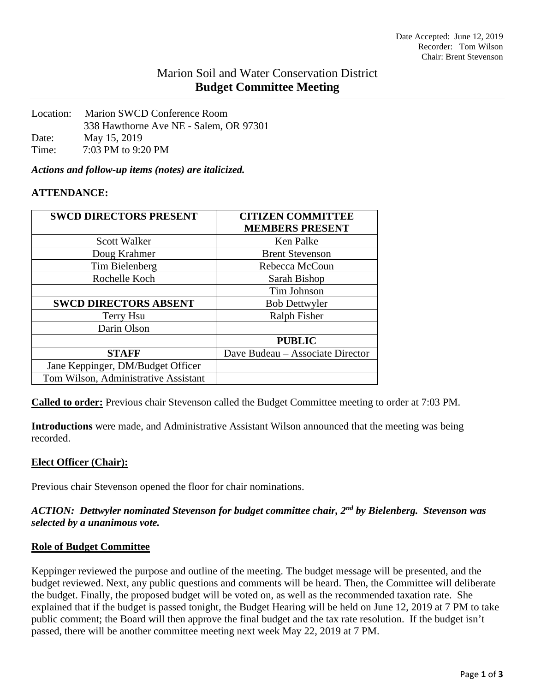# Marion Soil and Water Conservation District **Budget Committee Meeting**

| Location: | Marion SWCD Conference Room            |  |
|-----------|----------------------------------------|--|
|           | 338 Hawthorne Ave NE - Salem, OR 97301 |  |
| Date:     | May 15, 2019                           |  |
| Time:     | 7:03 PM to 9:20 PM                     |  |

*Actions and follow-up items (notes) are italicized.*

# **ATTENDANCE:**

| <b>SWCD DIRECTORS PRESENT</b>        | <b>CITIZEN COMMITTEE</b><br><b>MEMBERS PRESENT</b> |
|--------------------------------------|----------------------------------------------------|
| <b>Scott Walker</b>                  | <b>Ken Palke</b>                                   |
| Doug Krahmer                         | <b>Brent Stevenson</b>                             |
| Tim Bielenberg                       | Rebecca McCoun                                     |
| Rochelle Koch                        | Sarah Bishop                                       |
|                                      | Tim Johnson                                        |
| <b>SWCD DIRECTORS ABSENT</b>         | <b>Bob Dettwyler</b>                               |
| Terry Hsu                            | <b>Ralph Fisher</b>                                |
| Darin Olson                          |                                                    |
|                                      | <b>PUBLIC</b>                                      |
| <b>STAFF</b>                         | Dave Budeau - Associate Director                   |
| Jane Keppinger, DM/Budget Officer    |                                                    |
| Tom Wilson, Administrative Assistant |                                                    |

**Called to order:** Previous chair Stevenson called the Budget Committee meeting to order at 7:03 PM.

**Introductions** were made, and Administrative Assistant Wilson announced that the meeting was being recorded.

#### **Elect Officer (Chair):**

Previous chair Stevenson opened the floor for chair nominations.

# *ACTION: Dettwyler nominated Stevenson for budget committee chair, 2nd by Bielenberg. Stevenson was selected by a unanimous vote.*

#### **Role of Budget Committee**

Keppinger reviewed the purpose and outline of the meeting. The budget message will be presented, and the budget reviewed. Next, any public questions and comments will be heard. Then, the Committee will deliberate the budget. Finally, the proposed budget will be voted on, as well as the recommended taxation rate. She explained that if the budget is passed tonight, the Budget Hearing will be held on June 12, 2019 at 7 PM to take public comment; the Board will then approve the final budget and the tax rate resolution. If the budget isn't passed, there will be another committee meeting next week May 22, 2019 at 7 PM.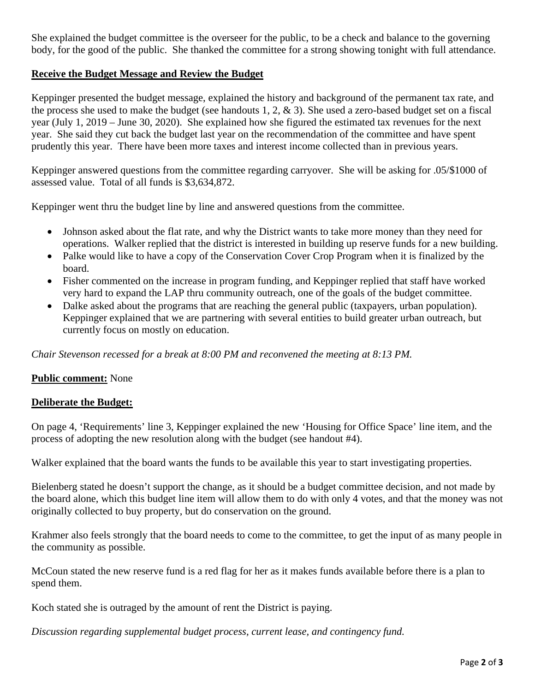She explained the budget committee is the overseer for the public, to be a check and balance to the governing body, for the good of the public. She thanked the committee for a strong showing tonight with full attendance.

# **Receive the Budget Message and Review the Budget**

Keppinger presented the budget message, explained the history and background of the permanent tax rate, and the process she used to make the budget (see handouts 1, 2, & 3). She used a zero-based budget set on a fiscal year (July 1, 2019 – June 30, 2020). She explained how she figured the estimated tax revenues for the next year. She said they cut back the budget last year on the recommendation of the committee and have spent prudently this year. There have been more taxes and interest income collected than in previous years.

Keppinger answered questions from the committee regarding carryover. She will be asking for .05/\$1000 of assessed value. Total of all funds is \$3,634,872.

Keppinger went thru the budget line by line and answered questions from the committee.

- Johnson asked about the flat rate, and why the District wants to take more money than they need for operations. Walker replied that the district is interested in building up reserve funds for a new building.
- Palke would like to have a copy of the Conservation Cover Crop Program when it is finalized by the board.
- Fisher commented on the increase in program funding, and Keppinger replied that staff have worked very hard to expand the LAP thru community outreach, one of the goals of the budget committee.
- Dalke asked about the programs that are reaching the general public (taxpayers, urban population). Keppinger explained that we are partnering with several entities to build greater urban outreach, but currently focus on mostly on education.

*Chair Stevenson recessed for a break at 8:00 PM and reconvened the meeting at 8:13 PM.*

#### **Public comment:** None

#### **Deliberate the Budget:**

On page 4, 'Requirements' line 3, Keppinger explained the new 'Housing for Office Space' line item, and the process of adopting the new resolution along with the budget (see handout #4).

Walker explained that the board wants the funds to be available this year to start investigating properties.

Bielenberg stated he doesn't support the change, as it should be a budget committee decision, and not made by the board alone, which this budget line item will allow them to do with only 4 votes, and that the money was not originally collected to buy property, but do conservation on the ground.

Krahmer also feels strongly that the board needs to come to the committee, to get the input of as many people in the community as possible.

McCoun stated the new reserve fund is a red flag for her as it makes funds available before there is a plan to spend them.

Koch stated she is outraged by the amount of rent the District is paying.

*Discussion regarding supplemental budget process, current lease, and contingency fund.*